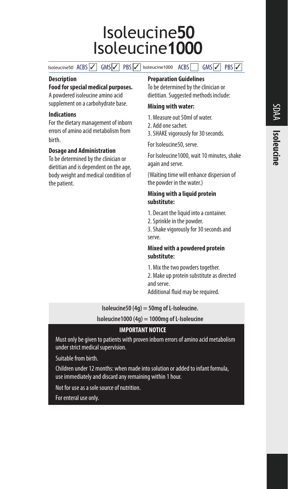# Isoleucine50 Isoleucine1000

Isoleucine50 ACBS 6MS 98 PBS 9 Isoleucine1000 ACBS GMS 9BS 9

#### **Description**

**Food for special medical purposes.**  A powdered isoleucine amino acid

supplement on a carbohydrate base.

#### **Indications**

For the dietary management of inborn errors of amino acid metabolism from birth.

## **Dosage and Administration**

To be determined by the clinician or dietitian and is dependent on the age, body weight and medical condition of the patient.

#### **Preparation Guidelines**

To be determined by the clinician or dietitian. Suggested methods include:

#### **Mixing with water:**

- 1. Measure out 50ml of water.
- 2. Add one sachet.
- 3. SHAKE vigorously for 30 seconds.

For Isoleucine50, serve.

For Isoleucine1000, wait 10 minutes, shake again and serve.

(Waiting time will enhance dispersion of the powder in the water.)

#### **Mixing with a liquid protein substitute:**

1. Decant the liquid into a container.

2. Sprinkle in the powder.

3. Shake vigorously for 30 seconds and serve.

#### **Mixed with a powdered protein substitute:**

1. Mix the two powders together. 2. Make up protein substitute as directed and serve.

Additional fluid may be required.

## **Isoleucine50 (4g) = 50mg of L-Isoleucine.**

**Isoleucine1000 (4g) = 1000mg of L-Isoleucine**

## **IMPORTANT NOTICE**

Must only be given to patients with proven inborn errors of amino acid metabolism under strict medical supervision.

Suitable from birth.

Children under 12 months: when made into solution or added to infant formula, use immediately and discard any remaining within 1 hour.

Not for use as a sole source of nutrition.

For enteral use only.